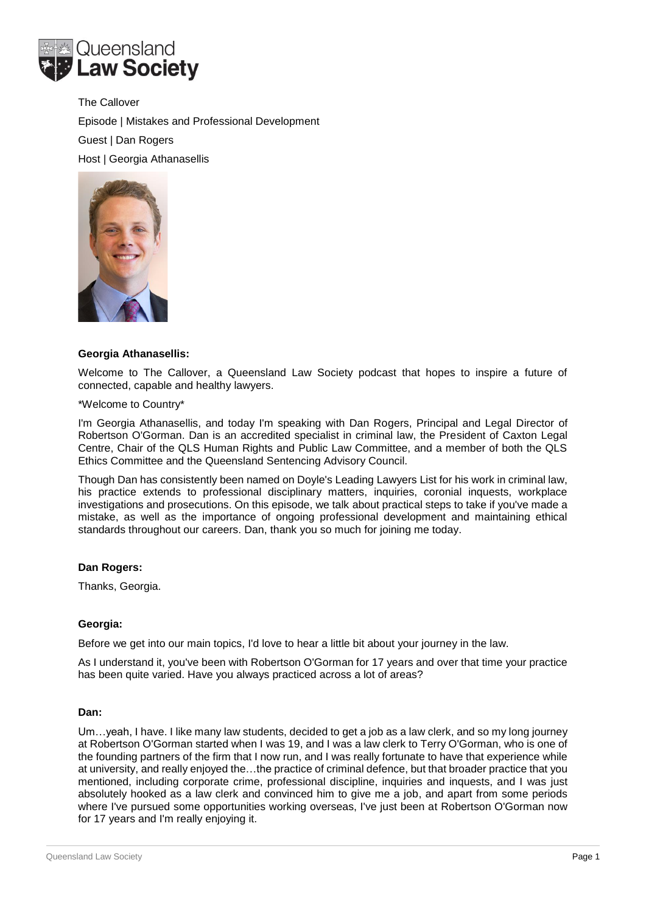

The Callover Episode | Mistakes and Professional Development Guest | Dan Rogers Host | Georgia Athanasellis



## **Georgia Athanasellis:**

Welcome to The Callover, a Queensland Law Society podcast that hopes to inspire a future of connected, capable and healthy lawyers.

## \*Welcome to Country\*

I'm Georgia Athanasellis, and today I'm speaking with Dan Rogers, Principal and Legal Director of Robertson O'Gorman. Dan is an accredited specialist in criminal law, the President of Caxton Legal Centre, Chair of the QLS Human Rights and Public Law Committee, and a member of both the QLS Ethics Committee and the Queensland Sentencing Advisory Council.

Though Dan has consistently been named on Doyle's Leading Lawyers List for his work in criminal law, his practice extends to professional disciplinary matters, inquiries, coronial inquests, workplace investigations and prosecutions. On this episode, we talk about practical steps to take if you've made a mistake, as well as the importance of ongoing professional development and maintaining ethical standards throughout our careers. Dan, thank you so much for joining me today.

## **Dan Rogers:**

Thanks, Georgia.

## **Georgia:**

Before we get into our main topics, I'd love to hear a little bit about your journey in the law.

As I understand it, you've been with Robertson O'Gorman for 17 years and over that time your practice has been quite varied. Have you always practiced across a lot of areas?

## **Dan:**

Um…yeah, I have. I like many law students, decided to get a job as a law clerk, and so my long journey at Robertson O'Gorman started when I was 19, and I was a law clerk to Terry O'Gorman, who is one of the founding partners of the firm that I now run, and I was really fortunate to have that experience while at university, and really enjoyed the…the practice of criminal defence, but that broader practice that you mentioned, including corporate crime, professional discipline, inquiries and inquests, and I was just absolutely hooked as a law clerk and convinced him to give me a job, and apart from some periods where I've pursued some opportunities working overseas, I've just been at Robertson O'Gorman now for 17 years and I'm really enjoying it.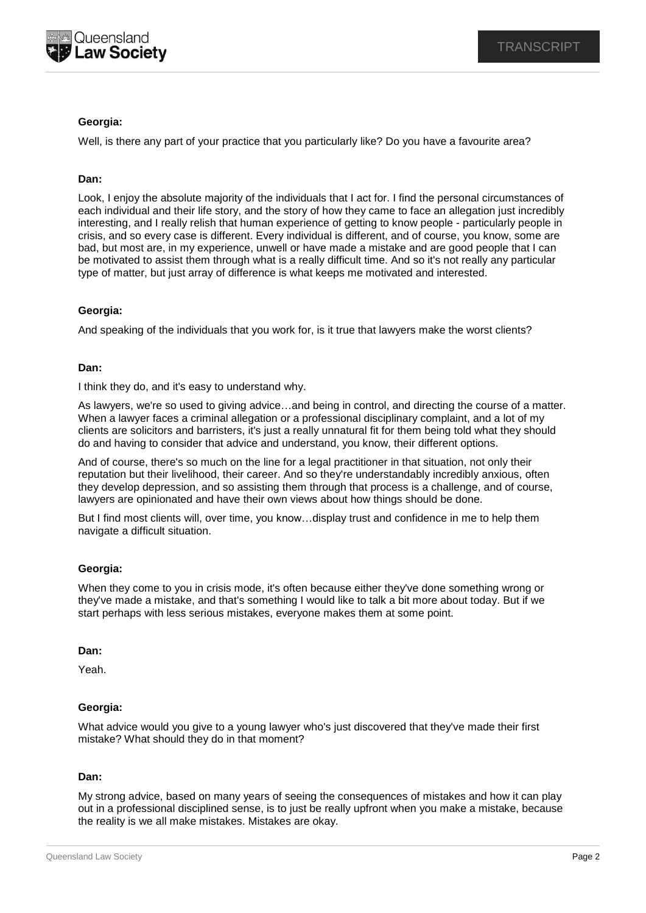

# **Georgia:**

Well, is there any part of your practice that you particularly like? Do you have a favourite area?

# **Dan:**

Look, I enjoy the absolute majority of the individuals that I act for. I find the personal circumstances of each individual and their life story, and the story of how they came to face an allegation just incredibly interesting, and I really relish that human experience of getting to know people - particularly people in crisis, and so every case is different. Every individual is different, and of course, you know, some are bad, but most are, in my experience, unwell or have made a mistake and are good people that I can be motivated to assist them through what is a really difficult time. And so it's not really any particular type of matter, but just array of difference is what keeps me motivated and interested.

## **Georgia:**

And speaking of the individuals that you work for, is it true that lawyers make the worst clients?

## **Dan:**

I think they do, and it's easy to understand why.

As lawyers, we're so used to giving advice…and being in control, and directing the course of a matter. When a lawyer faces a criminal allegation or a professional disciplinary complaint, and a lot of my clients are solicitors and barristers, it's just a really unnatural fit for them being told what they should do and having to consider that advice and understand, you know, their different options.

And of course, there's so much on the line for a legal practitioner in that situation, not only their reputation but their livelihood, their career. And so they're understandably incredibly anxious, often they develop depression, and so assisting them through that process is a challenge, and of course, lawyers are opinionated and have their own views about how things should be done.

But I find most clients will, over time, you know…display trust and confidence in me to help them navigate a difficult situation.

## **Georgia:**

When they come to you in crisis mode, it's often because either they've done something wrong or they've made a mistake, and that's something I would like to talk a bit more about today. But if we start perhaps with less serious mistakes, everyone makes them at some point.

## **Dan:**

Yeah.

## **Georgia:**

What advice would you give to a young lawyer who's just discovered that they've made their first mistake? What should they do in that moment?

## **Dan:**

My strong advice, based on many years of seeing the consequences of mistakes and how it can play out in a professional disciplined sense, is to just be really upfront when you make a mistake, because the reality is we all make mistakes. Mistakes are okay.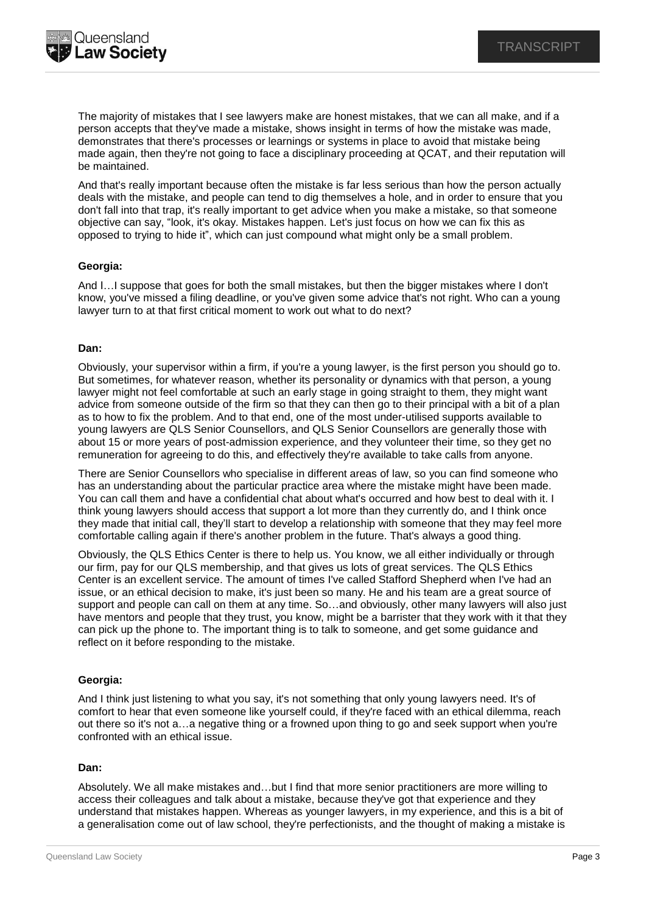The majority of mistakes that I see lawyers make are honest mistakes, that we can all make, and if a person accepts that they've made a mistake, shows insight in terms of how the mistake was made, demonstrates that there's processes or learnings or systems in place to avoid that mistake being made again, then they're not going to face a disciplinary proceeding at QCAT, and their reputation will be maintained.

And that's really important because often the mistake is far less serious than how the person actually deals with the mistake, and people can tend to dig themselves a hole, and in order to ensure that you don't fall into that trap, it's really important to get advice when you make a mistake, so that someone objective can say, "look, it's okay. Mistakes happen. Let's just focus on how we can fix this as opposed to trying to hide it", which can just compound what might only be a small problem.

# **Georgia:**

And I…I suppose that goes for both the small mistakes, but then the bigger mistakes where I don't know, you've missed a filing deadline, or you've given some advice that's not right. Who can a young lawyer turn to at that first critical moment to work out what to do next?

## **Dan:**

Obviously, your supervisor within a firm, if you're a young lawyer, is the first person you should go to. But sometimes, for whatever reason, whether its personality or dynamics with that person, a young lawyer might not feel comfortable at such an early stage in going straight to them, they might want advice from someone outside of the firm so that they can then go to their principal with a bit of a plan as to how to fix the problem. And to that end, one of the most under-utilised supports available to young lawyers are QLS Senior Counsellors, and QLS Senior Counsellors are generally those with about 15 or more years of post-admission experience, and they volunteer their time, so they get no remuneration for agreeing to do this, and effectively they're available to take calls from anyone.

There are Senior Counsellors who specialise in different areas of law, so you can find someone who has an understanding about the particular practice area where the mistake might have been made. You can call them and have a confidential chat about what's occurred and how best to deal with it. I think young lawyers should access that support a lot more than they currently do, and I think once they made that initial call, they'll start to develop a relationship with someone that they may feel more comfortable calling again if there's another problem in the future. That's always a good thing.

Obviously, the QLS Ethics Center is there to help us. You know, we all either individually or through our firm, pay for our QLS membership, and that gives us lots of great services. The QLS Ethics Center is an excellent service. The amount of times I've called Stafford Shepherd when I've had an issue, or an ethical decision to make, it's just been so many. He and his team are a great source of support and people can call on them at any time. So…and obviously, other many lawyers will also just have mentors and people that they trust, you know, might be a barrister that they work with it that they can pick up the phone to. The important thing is to talk to someone, and get some guidance and reflect on it before responding to the mistake.

# **Georgia:**

And I think just listening to what you say, it's not something that only young lawyers need. It's of comfort to hear that even someone like yourself could, if they're faced with an ethical dilemma, reach out there so it's not a…a negative thing or a frowned upon thing to go and seek support when you're confronted with an ethical issue.

## **Dan:**

Absolutely. We all make mistakes and…but I find that more senior practitioners are more willing to access their colleagues and talk about a mistake, because they've got that experience and they understand that mistakes happen. Whereas as younger lawyers, in my experience, and this is a bit of a generalisation come out of law school, they're perfectionists, and the thought of making a mistake is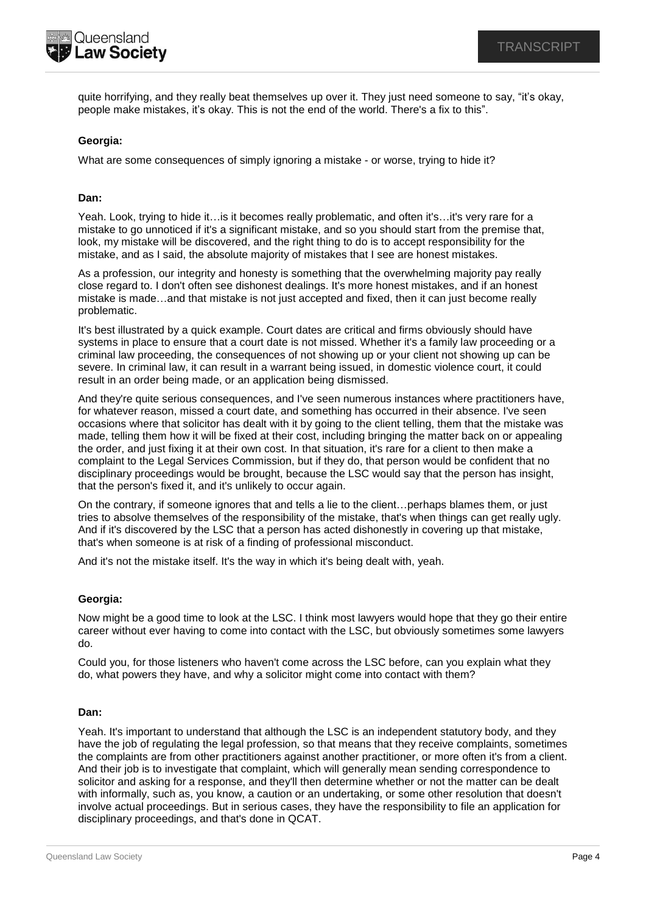

quite horrifying, and they really beat themselves up over it. They just need someone to say, "it's okay, people make mistakes, it's okay. This is not the end of the world. There's a fix to this".

# **Georgia:**

What are some consequences of simply ignoring a mistake - or worse, trying to hide it?

# **Dan:**

Yeah. Look, trying to hide it…is it becomes really problematic, and often it's…it's very rare for a mistake to go unnoticed if it's a significant mistake, and so you should start from the premise that, look, my mistake will be discovered, and the right thing to do is to accept responsibility for the mistake, and as I said, the absolute majority of mistakes that I see are honest mistakes.

As a profession, our integrity and honesty is something that the overwhelming majority pay really close regard to. I don't often see dishonest dealings. It's more honest mistakes, and if an honest mistake is made…and that mistake is not just accepted and fixed, then it can just become really problematic.

It's best illustrated by a quick example. Court dates are critical and firms obviously should have systems in place to ensure that a court date is not missed. Whether it's a family law proceeding or a criminal law proceeding, the consequences of not showing up or your client not showing up can be severe. In criminal law, it can result in a warrant being issued, in domestic violence court, it could result in an order being made, or an application being dismissed.

And they're quite serious consequences, and I've seen numerous instances where practitioners have, for whatever reason, missed a court date, and something has occurred in their absence. I've seen occasions where that solicitor has dealt with it by going to the client telling, them that the mistake was made, telling them how it will be fixed at their cost, including bringing the matter back on or appealing the order, and just fixing it at their own cost. In that situation, it's rare for a client to then make a complaint to the Legal Services Commission, but if they do, that person would be confident that no disciplinary proceedings would be brought, because the LSC would say that the person has insight, that the person's fixed it, and it's unlikely to occur again.

On the contrary, if someone ignores that and tells a lie to the client…perhaps blames them, or just tries to absolve themselves of the responsibility of the mistake, that's when things can get really ugly. And if it's discovered by the LSC that a person has acted dishonestly in covering up that mistake, that's when someone is at risk of a finding of professional misconduct.

And it's not the mistake itself. It's the way in which it's being dealt with, yeah.

## **Georgia:**

Now might be a good time to look at the LSC. I think most lawyers would hope that they go their entire career without ever having to come into contact with the LSC, but obviously sometimes some lawyers do.

Could you, for those listeners who haven't come across the LSC before, can you explain what they do, what powers they have, and why a solicitor might come into contact with them?

## **Dan:**

Yeah. It's important to understand that although the LSC is an independent statutory body, and they have the job of regulating the legal profession, so that means that they receive complaints, sometimes the complaints are from other practitioners against another practitioner, or more often it's from a client. And their job is to investigate that complaint, which will generally mean sending correspondence to solicitor and asking for a response, and they'll then determine whether or not the matter can be dealt with informally, such as, you know, a caution or an undertaking, or some other resolution that doesn't involve actual proceedings. But in serious cases, they have the responsibility to file an application for disciplinary proceedings, and that's done in QCAT.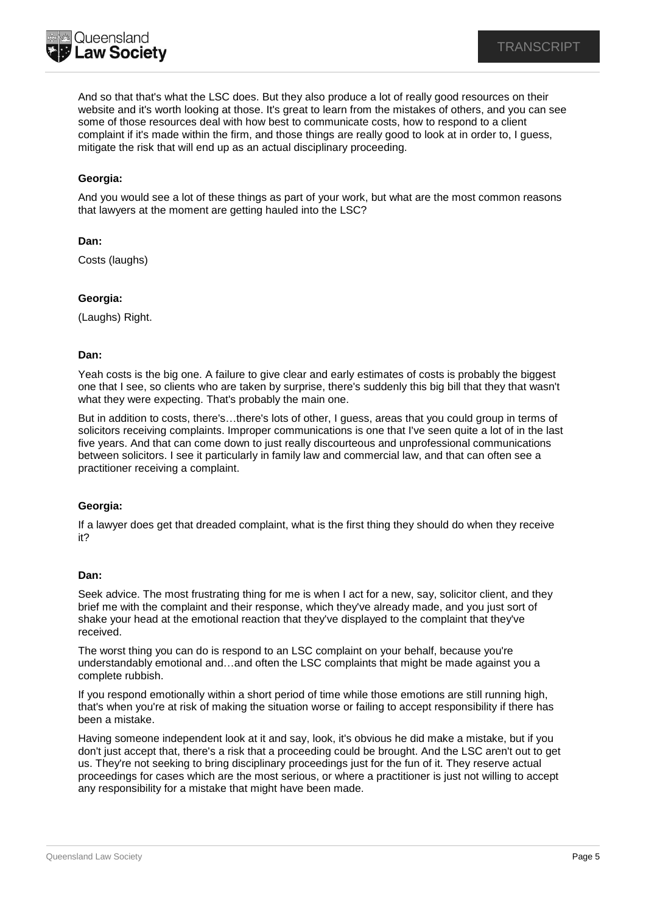

And so that that's what the LSC does. But they also produce a lot of really good resources on their website and it's worth looking at those. It's great to learn from the mistakes of others, and you can see some of those resources deal with how best to communicate costs, how to respond to a client complaint if it's made within the firm, and those things are really good to look at in order to, I guess, mitigate the risk that will end up as an actual disciplinary proceeding.

# **Georgia:**

And you would see a lot of these things as part of your work, but what are the most common reasons that lawyers at the moment are getting hauled into the LSC?

## **Dan:**

Costs (laughs)

## **Georgia:**

(Laughs) Right.

#### **Dan:**

Yeah costs is the big one. A failure to give clear and early estimates of costs is probably the biggest one that I see, so clients who are taken by surprise, there's suddenly this big bill that they that wasn't what they were expecting. That's probably the main one.

But in addition to costs, there's…there's lots of other, I guess, areas that you could group in terms of solicitors receiving complaints. Improper communications is one that I've seen quite a lot of in the last five years. And that can come down to just really discourteous and unprofessional communications between solicitors. I see it particularly in family law and commercial law, and that can often see a practitioner receiving a complaint.

## **Georgia:**

If a lawyer does get that dreaded complaint, what is the first thing they should do when they receive it?

#### **Dan:**

Seek advice. The most frustrating thing for me is when I act for a new, say, solicitor client, and they brief me with the complaint and their response, which they've already made, and you just sort of shake your head at the emotional reaction that they've displayed to the complaint that they've received.

The worst thing you can do is respond to an LSC complaint on your behalf, because you're understandably emotional and…and often the LSC complaints that might be made against you a complete rubbish.

If you respond emotionally within a short period of time while those emotions are still running high, that's when you're at risk of making the situation worse or failing to accept responsibility if there has been a mistake.

Having someone independent look at it and say, look, it's obvious he did make a mistake, but if you don't just accept that, there's a risk that a proceeding could be brought. And the LSC aren't out to get us. They're not seeking to bring disciplinary proceedings just for the fun of it. They reserve actual proceedings for cases which are the most serious, or where a practitioner is just not willing to accept any responsibility for a mistake that might have been made.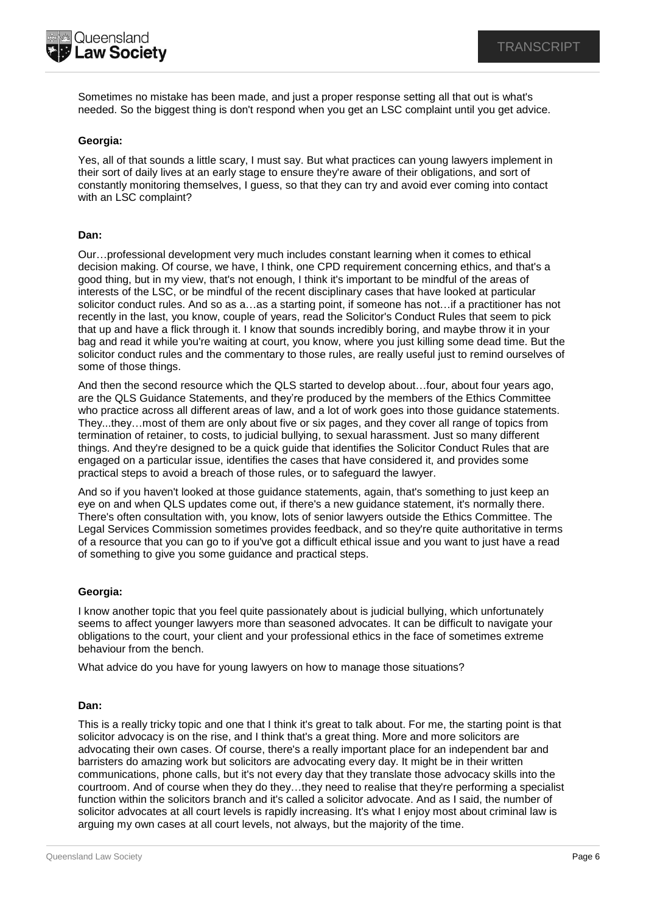

Sometimes no mistake has been made, and just a proper response setting all that out is what's needed. So the biggest thing is don't respond when you get an LSC complaint until you get advice.

# **Georgia:**

Yes, all of that sounds a little scary, I must say. But what practices can young lawyers implement in their sort of daily lives at an early stage to ensure they're aware of their obligations, and sort of constantly monitoring themselves, I guess, so that they can try and avoid ever coming into contact with an LSC complaint?

## **Dan:**

Our…professional development very much includes constant learning when it comes to ethical decision making. Of course, we have, I think, one CPD requirement concerning ethics, and that's a good thing, but in my view, that's not enough, I think it's important to be mindful of the areas of interests of the LSC, or be mindful of the recent disciplinary cases that have looked at particular solicitor conduct rules. And so as a…as a starting point, if someone has not…if a practitioner has not recently in the last, you know, couple of years, read the Solicitor's Conduct Rules that seem to pick that up and have a flick through it. I know that sounds incredibly boring, and maybe throw it in your bag and read it while you're waiting at court, you know, where you just killing some dead time. But the solicitor conduct rules and the commentary to those rules, are really useful just to remind ourselves of some of those things.

And then the second resource which the QLS started to develop about…four, about four years ago, are the QLS Guidance Statements, and they're produced by the members of the Ethics Committee who practice across all different areas of law, and a lot of work goes into those guidance statements. They...they…most of them are only about five or six pages, and they cover all range of topics from termination of retainer, to costs, to judicial bullying, to sexual harassment. Just so many different things. And they're designed to be a quick guide that identifies the Solicitor Conduct Rules that are engaged on a particular issue, identifies the cases that have considered it, and provides some practical steps to avoid a breach of those rules, or to safeguard the lawyer.

And so if you haven't looked at those guidance statements, again, that's something to just keep an eye on and when QLS updates come out, if there's a new guidance statement, it's normally there. There's often consultation with, you know, lots of senior lawyers outside the Ethics Committee. The Legal Services Commission sometimes provides feedback, and so they're quite authoritative in terms of a resource that you can go to if you've got a difficult ethical issue and you want to just have a read of something to give you some guidance and practical steps.

## **Georgia:**

I know another topic that you feel quite passionately about is judicial bullying, which unfortunately seems to affect younger lawyers more than seasoned advocates. It can be difficult to navigate your obligations to the court, your client and your professional ethics in the face of sometimes extreme behaviour from the bench.

What advice do you have for young lawyers on how to manage those situations?

## **Dan:**

This is a really tricky topic and one that I think it's great to talk about. For me, the starting point is that solicitor advocacy is on the rise, and I think that's a great thing. More and more solicitors are advocating their own cases. Of course, there's a really important place for an independent bar and barristers do amazing work but solicitors are advocating every day. It might be in their written communications, phone calls, but it's not every day that they translate those advocacy skills into the courtroom. And of course when they do they…they need to realise that they're performing a specialist function within the solicitors branch and it's called a solicitor advocate. And as I said, the number of solicitor advocates at all court levels is rapidly increasing. It's what I enjoy most about criminal law is arguing my own cases at all court levels, not always, but the majority of the time.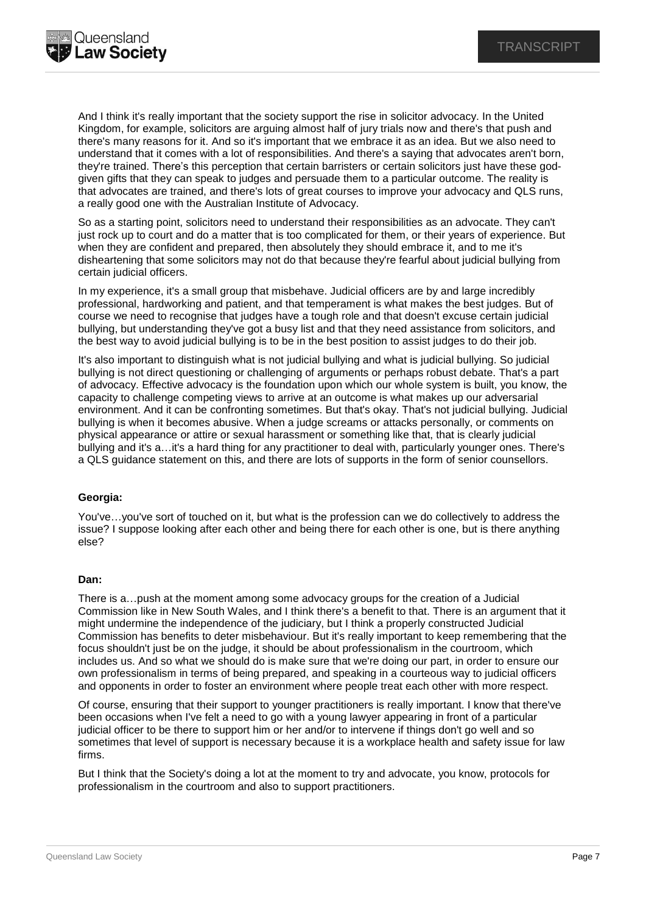

And I think it's really important that the society support the rise in solicitor advocacy. In the United Kingdom, for example, solicitors are arguing almost half of jury trials now and there's that push and there's many reasons for it. And so it's important that we embrace it as an idea. But we also need to understand that it comes with a lot of responsibilities. And there's a saying that advocates aren't born, they're trained. There's this perception that certain barristers or certain solicitors just have these godgiven gifts that they can speak to judges and persuade them to a particular outcome. The reality is that advocates are trained, and there's lots of great courses to improve your advocacy and QLS runs, a really good one with the Australian Institute of Advocacy.

So as a starting point, solicitors need to understand their responsibilities as an advocate. They can't just rock up to court and do a matter that is too complicated for them, or their years of experience. But when they are confident and prepared, then absolutely they should embrace it, and to me it's disheartening that some solicitors may not do that because they're fearful about judicial bullying from certain judicial officers.

In my experience, it's a small group that misbehave. Judicial officers are by and large incredibly professional, hardworking and patient, and that temperament is what makes the best judges. But of course we need to recognise that judges have a tough role and that doesn't excuse certain judicial bullying, but understanding they've got a busy list and that they need assistance from solicitors, and the best way to avoid judicial bullying is to be in the best position to assist judges to do their job.

It's also important to distinguish what is not judicial bullying and what is judicial bullying. So judicial bullying is not direct questioning or challenging of arguments or perhaps robust debate. That's a part of advocacy. Effective advocacy is the foundation upon which our whole system is built, you know, the capacity to challenge competing views to arrive at an outcome is what makes up our adversarial environment. And it can be confronting sometimes. But that's okay. That's not judicial bullying. Judicial bullying is when it becomes abusive. When a judge screams or attacks personally, or comments on physical appearance or attire or sexual harassment or something like that, that is clearly judicial bullying and it's a…it's a hard thing for any practitioner to deal with, particularly younger ones. There's a QLS guidance statement on this, and there are lots of supports in the form of senior counsellors.

## **Georgia:**

You've…you've sort of touched on it, but what is the profession can we do collectively to address the issue? I suppose looking after each other and being there for each other is one, but is there anything else?

## **Dan:**

There is a…push at the moment among some advocacy groups for the creation of a Judicial Commission like in New South Wales, and I think there's a benefit to that. There is an argument that it might undermine the independence of the judiciary, but I think a properly constructed Judicial Commission has benefits to deter misbehaviour. But it's really important to keep remembering that the focus shouldn't just be on the judge, it should be about professionalism in the courtroom, which includes us. And so what we should do is make sure that we're doing our part, in order to ensure our own professionalism in terms of being prepared, and speaking in a courteous way to judicial officers and opponents in order to foster an environment where people treat each other with more respect.

Of course, ensuring that their support to younger practitioners is really important. I know that there've been occasions when I've felt a need to go with a young lawyer appearing in front of a particular judicial officer to be there to support him or her and/or to intervene if things don't go well and so sometimes that level of support is necessary because it is a workplace health and safety issue for law firms.

But I think that the Society's doing a lot at the moment to try and advocate, you know, protocols for professionalism in the courtroom and also to support practitioners.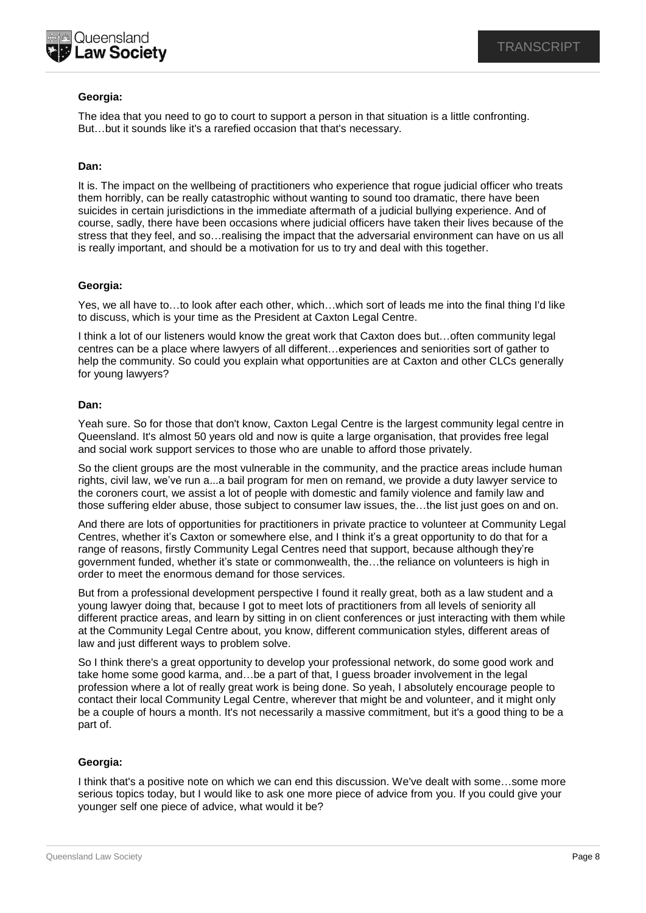

# **Georgia:**

The idea that you need to go to court to support a person in that situation is a little confronting. But…but it sounds like it's a rarefied occasion that that's necessary.

## **Dan:**

It is. The impact on the wellbeing of practitioners who experience that rogue judicial officer who treats them horribly, can be really catastrophic without wanting to sound too dramatic, there have been suicides in certain jurisdictions in the immediate aftermath of a judicial bullying experience. And of course, sadly, there have been occasions where judicial officers have taken their lives because of the stress that they feel, and so…realising the impact that the adversarial environment can have on us all is really important, and should be a motivation for us to try and deal with this together.

## **Georgia:**

Yes, we all have to…to look after each other, which…which sort of leads me into the final thing I'd like to discuss, which is your time as the President at Caxton Legal Centre.

I think a lot of our listeners would know the great work that Caxton does but…often community legal centres can be a place where lawyers of all different…experiences and seniorities sort of gather to help the community. So could you explain what opportunities are at Caxton and other CLCs generally for young lawyers?

## **Dan:**

Yeah sure. So for those that don't know, Caxton Legal Centre is the largest community legal centre in Queensland. It's almost 50 years old and now is quite a large organisation, that provides free legal and social work support services to those who are unable to afford those privately.

So the client groups are the most vulnerable in the community, and the practice areas include human rights, civil law, we've run a...a bail program for men on remand, we provide a duty lawyer service to the coroners court, we assist a lot of people with domestic and family violence and family law and those suffering elder abuse, those subject to consumer law issues, the…the list just goes on and on.

And there are lots of opportunities for practitioners in private practice to volunteer at Community Legal Centres, whether it's Caxton or somewhere else, and I think it's a great opportunity to do that for a range of reasons, firstly Community Legal Centres need that support, because although they're government funded, whether it's state or commonwealth, the…the reliance on volunteers is high in order to meet the enormous demand for those services.

But from a professional development perspective I found it really great, both as a law student and a young lawyer doing that, because I got to meet lots of practitioners from all levels of seniority all different practice areas, and learn by sitting in on client conferences or just interacting with them while at the Community Legal Centre about, you know, different communication styles, different areas of law and just different ways to problem solve.

So I think there's a great opportunity to develop your professional network, do some good work and take home some good karma, and…be a part of that, I guess broader involvement in the legal profession where a lot of really great work is being done. So yeah, I absolutely encourage people to contact their local Community Legal Centre, wherever that might be and volunteer, and it might only be a couple of hours a month. It's not necessarily a massive commitment, but it's a good thing to be a part of.

## **Georgia:**

I think that's a positive note on which we can end this discussion. We've dealt with some…some more serious topics today, but I would like to ask one more piece of advice from you. If you could give your younger self one piece of advice, what would it be?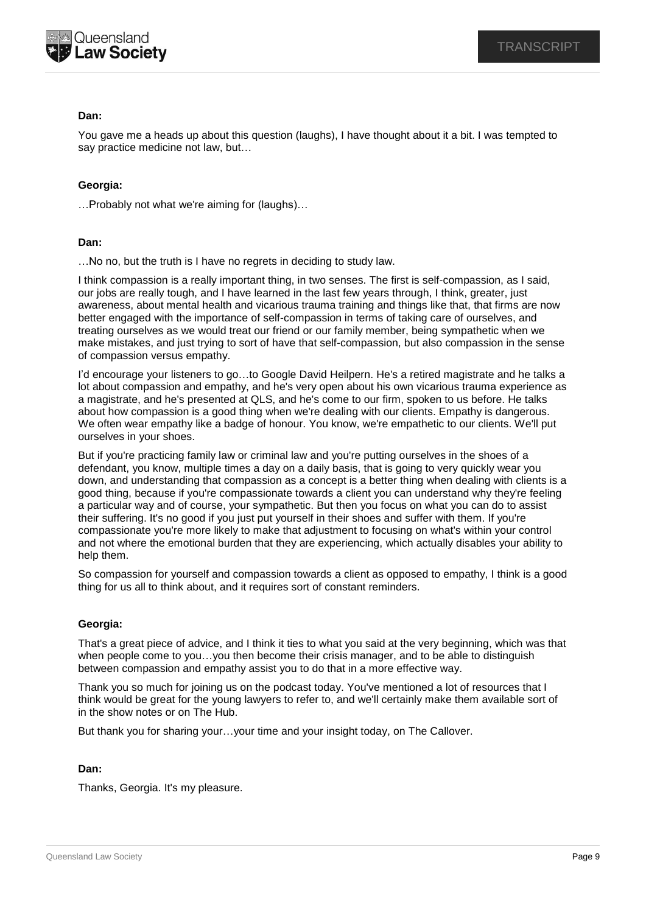

## **Dan:**

You gave me a heads up about this question (laughs), I have thought about it a bit. I was tempted to say practice medicine not law, but…

## **Georgia:**

…Probably not what we're aiming for (laughs)…

## **Dan:**

…No no, but the truth is I have no regrets in deciding to study law.

I think compassion is a really important thing, in two senses. The first is self-compassion, as I said, our jobs are really tough, and I have learned in the last few years through, I think, greater, just awareness, about mental health and vicarious trauma training and things like that, that firms are now better engaged with the importance of self-compassion in terms of taking care of ourselves, and treating ourselves as we would treat our friend or our family member, being sympathetic when we make mistakes, and just trying to sort of have that self-compassion, but also compassion in the sense of compassion versus empathy.

I'd encourage your listeners to go…to Google David Heilpern. He's a retired magistrate and he talks a lot about compassion and empathy, and he's very open about his own vicarious trauma experience as a magistrate, and he's presented at QLS, and he's come to our firm, spoken to us before. He talks about how compassion is a good thing when we're dealing with our clients. Empathy is dangerous. We often wear empathy like a badge of honour. You know, we're empathetic to our clients. We'll put ourselves in your shoes.

But if you're practicing family law or criminal law and you're putting ourselves in the shoes of a defendant, you know, multiple times a day on a daily basis, that is going to very quickly wear you down, and understanding that compassion as a concept is a better thing when dealing with clients is a good thing, because if you're compassionate towards a client you can understand why they're feeling a particular way and of course, your sympathetic. But then you focus on what you can do to assist their suffering. It's no good if you just put yourself in their shoes and suffer with them. If you're compassionate you're more likely to make that adjustment to focusing on what's within your control and not where the emotional burden that they are experiencing, which actually disables your ability to help them.

So compassion for yourself and compassion towards a client as opposed to empathy, I think is a good thing for us all to think about, and it requires sort of constant reminders.

## **Georgia:**

That's a great piece of advice, and I think it ties to what you said at the very beginning, which was that when people come to you…you then become their crisis manager, and to be able to distinguish between compassion and empathy assist you to do that in a more effective way.

Thank you so much for joining us on the podcast today. You've mentioned a lot of resources that I think would be great for the young lawyers to refer to, and we'll certainly make them available sort of in the show notes or on The Hub.

But thank you for sharing your…your time and your insight today, on The Callover.

## **Dan:**

Thanks, Georgia. It's my pleasure.